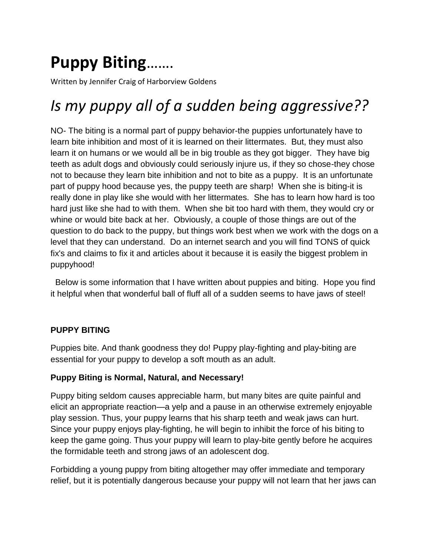# **Puppy Biting**…….

Written by Jennifer Craig of Harborview Goldens

# *Is my puppy all of a sudden being aggressive??*

NO- The biting is a normal part of puppy behavior-the puppies unfortunately have to learn bite inhibition and most of it is learned on their littermates. But, they must also learn it on humans or we would all be in big trouble as they got bigger. They have big teeth as adult dogs and obviously could seriously injure us, if they so chose-they chose not to because they learn bite inhibition and not to bite as a puppy. It is an unfortunate part of puppy hood because yes, the puppy teeth are sharp! When she is biting-it is really done in play like she would with her littermates. She has to learn how hard is too hard just like she had to with them. When she bit too hard with them, they would cry or whine or would bite back at her. Obviously, a couple of those things are out of the question to do back to the puppy, but things work best when we work with the dogs on a level that they can understand. Do an internet search and you will find TONS of quick fix's and claims to fix it and articles about it because it is easily the biggest problem in puppyhood!

 Below is some information that I have written about puppies and biting. Hope you find it helpful when that wonderful ball of fluff all of a sudden seems to have jaws of steel!

# **PUPPY BITING**

Puppies bite. And thank goodness they do! Puppy play-fighting and play-biting are essential for your puppy to develop a soft mouth as an adult.

#### **Puppy Biting is Normal, Natural, and Necessary!**

Puppy biting seldom causes appreciable harm, but many bites are quite painful and elicit an appropriate reaction—a yelp and a pause in an otherwise extremely enjoyable play session. Thus, your puppy learns that his sharp teeth and weak jaws can hurt. Since your puppy enjoys play-fighting, he will begin to inhibit the force of his biting to keep the game going. Thus your puppy will learn to play-bite gently before he acquires the formidable teeth and strong jaws of an adolescent dog.

Forbidding a young puppy from biting altogether may offer immediate and temporary relief, but it is potentially dangerous because your puppy will not learn that her jaws can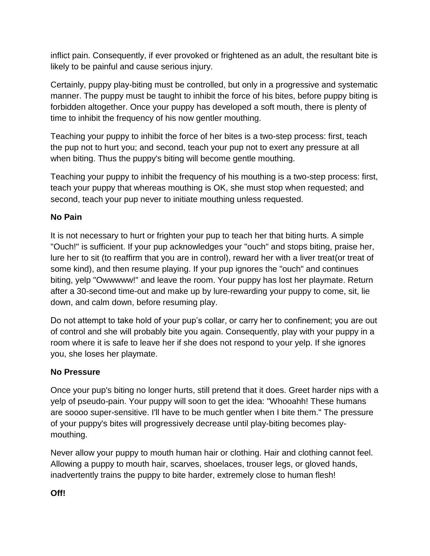inflict pain. Consequently, if ever provoked or frightened as an adult, the resultant bite is likely to be painful and cause serious injury.

Certainly, puppy play-biting must be controlled, but only in a progressive and systematic manner. The puppy must be taught to inhibit the force of his bites, before puppy biting is forbidden altogether. Once your puppy has developed a soft mouth, there is plenty of time to inhibit the frequency of his now gentler mouthing.

Teaching your puppy to inhibit the force of her bites is a two-step process: first, teach the pup not to hurt you; and second, teach your pup not to exert any pressure at all when biting. Thus the puppy's biting will become gentle mouthing.

Teaching your puppy to inhibit the frequency of his mouthing is a two-step process: first, teach your puppy that whereas mouthing is OK, she must stop when requested; and second, teach your pup never to initiate mouthing unless requested.

# **No Pain**

It is not necessary to hurt or frighten your pup to teach her that biting hurts. A simple "Ouch!" is sufficient. If your pup acknowledges your "ouch" and stops biting, praise her, lure her to sit (to reaffirm that you are in control), reward her with a liver treat(or treat of some kind), and then resume playing. If your pup ignores the "ouch" and continues biting, yelp "Owwwww!" and leave the room. Your puppy has lost her playmate. Return after a 30-second time-out and make up by lure-rewarding your puppy to come, sit, lie down, and calm down, before resuming play.

Do not attempt to take hold of your pup's collar, or carry her to confinement; you are out of control and she will probably bite you again. Consequently, play with your puppy in a room where it is safe to leave her if she does not respond to your yelp. If she ignores you, she loses her playmate.

# **No Pressure**

Once your pup's biting no longer hurts, still pretend that it does. Greet harder nips with a yelp of pseudo-pain. Your puppy will soon to get the idea: "Whooahh! These humans are soooo super-sensitive. I'll have to be much gentler when I bite them." The pressure of your puppy's bites will progressively decrease until play-biting becomes playmouthing.

Never allow your puppy to mouth human hair or clothing. Hair and clothing cannot feel. Allowing a puppy to mouth hair, scarves, shoelaces, trouser legs, or gloved hands, inadvertently trains the puppy to bite harder, extremely close to human flesh!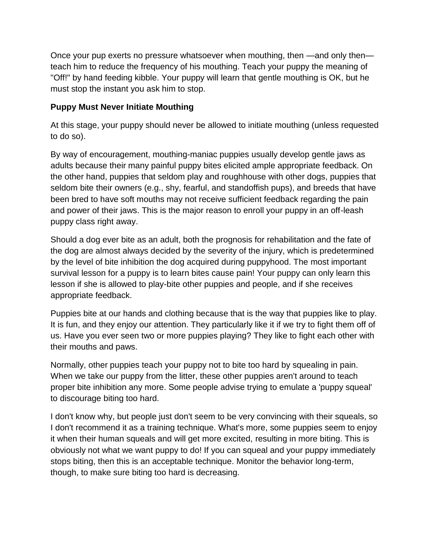Once your pup exerts no pressure whatsoever when mouthing, then —and only then teach him to reduce the frequency of his mouthing. Teach your puppy the meaning of "Off!" by hand feeding kibble. Your puppy will learn that gentle mouthing is OK, but he must stop the instant you ask him to stop.

### **Puppy Must Never Initiate Mouthing**

At this stage, your puppy should never be allowed to initiate mouthing (unless requested to do so).

By way of encouragement, mouthing-maniac puppies usually develop gentle jaws as adults because their many painful puppy bites elicited ample appropriate feedback. On the other hand, puppies that seldom play and roughhouse with other dogs, puppies that seldom bite their owners (e.g., shy, fearful, and standoffish pups), and breeds that have been bred to have soft mouths may not receive sufficient feedback regarding the pain and power of their jaws. This is the major reason to enroll your puppy in an off-leash puppy class right away.

Should a dog ever bite as an adult, both the prognosis for rehabilitation and the fate of the dog are almost always decided by the severity of the injury, which is predetermined by the level of bite inhibition the dog acquired during puppyhood. The most important survival lesson for a puppy is to learn bites cause pain! Your puppy can only learn this lesson if she is allowed to play-bite other puppies and people, and if she receives appropriate feedback.

Puppies bite at our hands and clothing because that is the way that puppies like to play. It is fun, and they enjoy our attention. They particularly like it if we try to fight them off of us. Have you ever seen two or more puppies playing? They like to fight each other with their mouths and paws.

Normally, other puppies teach your puppy not to bite too hard by squealing in pain. When we take our puppy from the litter, these other puppies aren't around to teach proper bite inhibition any more. Some people advise trying to emulate a 'puppy squeal' to discourage biting too hard.

I don't know why, but people just don't seem to be very convincing with their squeals, so I don't recommend it as a training technique. What's more, some puppies seem to enjoy it when their human squeals and will get more excited, resulting in more biting. This is obviously not what we want puppy to do! If you can squeal and your puppy immediately stops biting, then this is an acceptable technique. Monitor the behavior long-term, though, to make sure biting too hard is decreasing.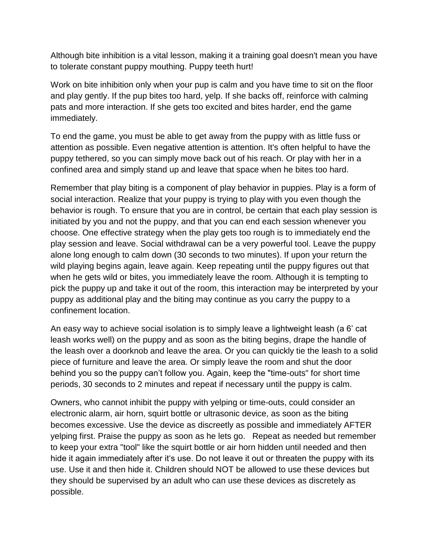Although bite inhibition is a vital lesson, making it a training goal doesn't mean you have to tolerate constant puppy mouthing. Puppy teeth hurt!

Work on bite inhibition only when your pup is calm and you have time to sit on the floor and play gently. If the pup bites too hard, yelp. If she backs off, reinforce with calming pats and more interaction. If she gets too excited and bites harder, end the game immediately.

To end the game, you must be able to get away from the puppy with as little fuss or attention as possible. Even negative attention is attention. It's often helpful to have the puppy tethered, so you can simply move back out of his reach. Or play with her in a confined area and simply stand up and leave that space when he bites too hard.

Remember that play biting is a component of play behavior in puppies. Play is a form of social interaction. Realize that your puppy is trying to play with you even though the behavior is rough. To ensure that you are in control, be certain that each play session is initiated by you and not the puppy, and that you can end each session whenever you choose. One effective strategy when the play gets too rough is to immediately end the play session and leave. Social withdrawal can be a very powerful tool. Leave the puppy alone long enough to calm down (30 seconds to two minutes). If upon your return the wild playing begins again, leave again. Keep repeating until the puppy figures out that when he gets wild or bites, you immediately leave the room. Although it is tempting to pick the puppy up and take it out of the room, this interaction may be interpreted by your puppy as additional play and the biting may continue as you carry the puppy to a confinement location.

An easy way to achieve social isolation is to simply leave a lightweight leash (a 6' cat leash works well) on the puppy and as soon as the biting begins, drape the handle of the leash over a doorknob and leave the area. Or you can quickly tie the leash to a solid piece of furniture and leave the area. Or simply leave the room and shut the door behind you so the puppy can't follow you. Again, keep the "time-outs" for short time periods, 30 seconds to 2 minutes and repeat if necessary until the puppy is calm.

Owners, who cannot inhibit the puppy with yelping or time-outs, could consider an electronic alarm, air horn, squirt bottle or ultrasonic device, as soon as the biting becomes excessive. Use the device as discreetly as possible and immediately AFTER yelping first. Praise the puppy as soon as he lets go. Repeat as needed but remember to keep your extra "tool" like the squirt bottle or air horn hidden until needed and then hide it again immediately after it's use. Do not leave it out or threaten the puppy with its use. Use it and then hide it. Children should NOT be allowed to use these devices but they should be supervised by an adult who can use these devices as discretely as possible.